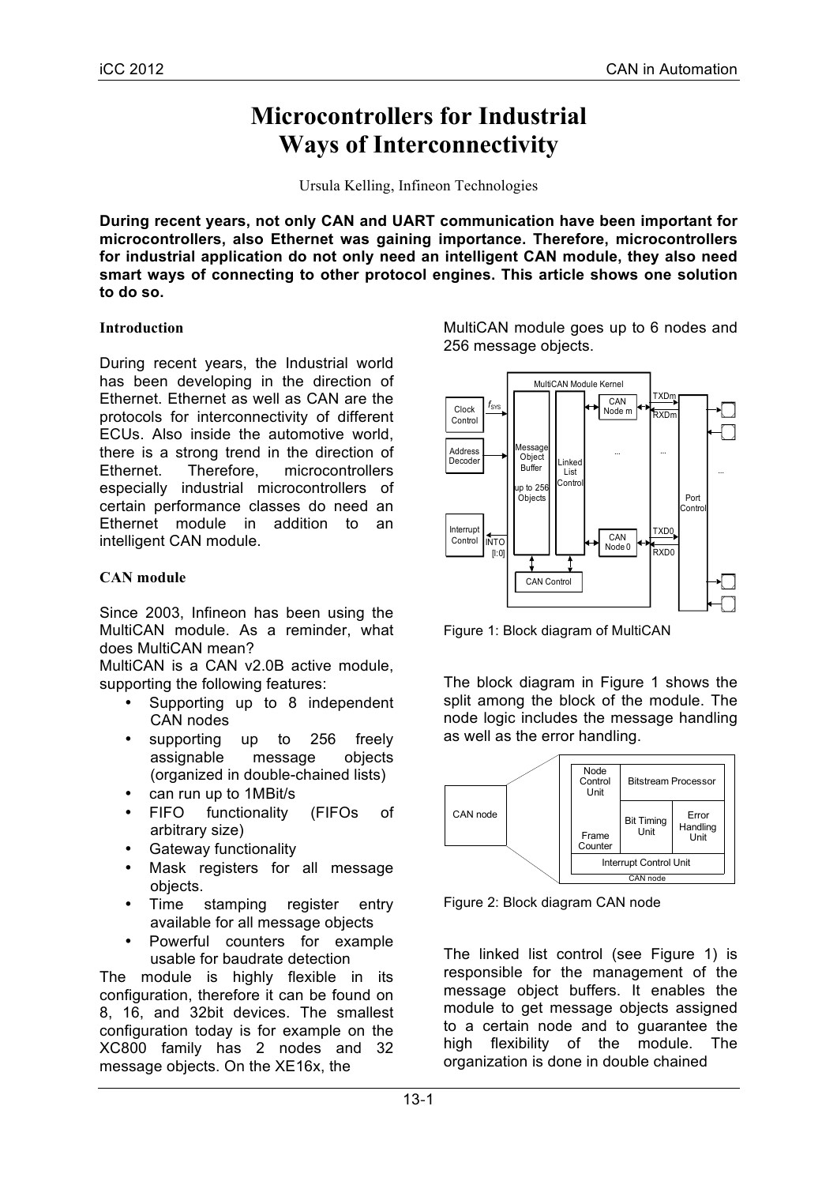# **Microcontrollers for Industrial Ways of Interconnectivity**

Ursula Kelling, Infineon Technologies

**During recent years, not only CAN and UART communication have been important for microcontrollers, also Ethernet was gaining importance. Therefore, microcontrollers for industrial application do not only need an intelligent CAN module, they also need smart ways of connecting to other protocol engines. This article shows one solution to do so.**

## **Introduction**

During recent years, the Industrial world has been developing in the direction of Ethernet. Ethernet as well as CAN are the protocols for interconnectivity of different ECUs. Also inside the automotive world, there is a strong trend in the direction of Ethernet. Therefore, microcontrollers especially industrial microcontrollers of certain performance classes do need an Ethernet module in addition to an intelligent CAN module.

# **CAN module**

Since 2003, Infineon has been using the MultiCAN module. As a reminder, what does MultiCAN mean?

MultiCAN is a CAN v2.0B active module, supporting the following features:

- Supporting up to 8 independent CAN nodes
- supporting up to 256 freely assignable message objects (organized in double-chained lists)
- 
- can run up to 1MBit/s<br>• FIFO functionality functionality (FIFOs of arbitrary size)
- Gateway functionality
- Mask registers for all message objects.
- Time stamping register entry available for all message objects
- Powerful counters for example usable for baudrate detection

The module is highly flexible in its configuration, therefore it can be found on 8, 16, and 32bit devices. The smallest configuration today is for example on the XC800 family has 2 nodes and 32 message objects. On the XE16x, the

MultiCAN module goes up to 6 nodes and 256 message objects.



Figure 1: Block diagram of MultiCAN

The block diagram in Figure 1 shows the split among the block of the module. The node logic includes the message handling as well as the error handling.



Figure 2: Block diagram CAN node

The linked list control (see Figure 1) is responsible for the management of the message object buffers. It enables the module to get message objects assigned to a certain node and to guarantee the high flexibility of the module. The organization is done in double chained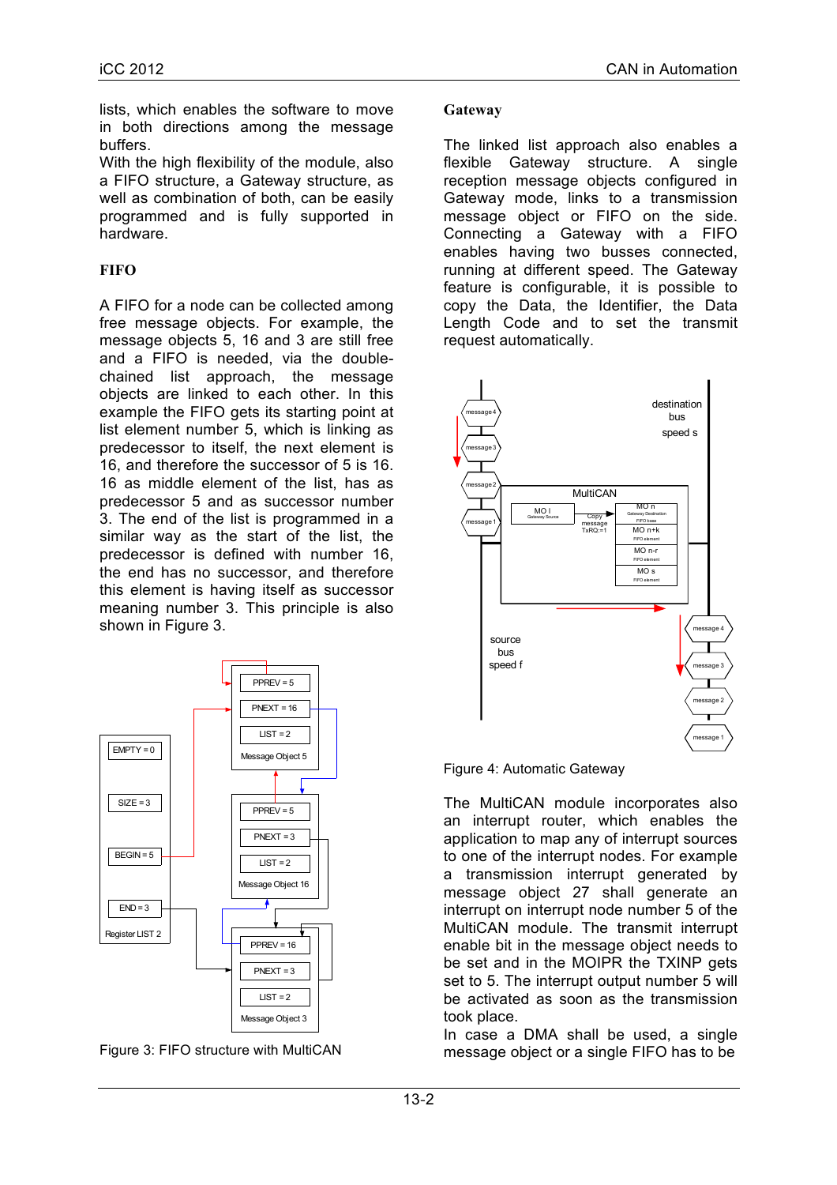lists, which enables the software to move in both directions among the message buffers.

With the high flexibility of the module, also a FIFO structure, a Gateway structure, as well as combination of both, can be easily programmed and is fully supported in hardware.

# **FIFO**

A FIFO for a node can be collected among free message objects. For example, the message objects 5, 16 and 3 are still free and a FIFO is needed, via the doublechained list approach, the message objects are linked to each other. In this example the FIFO gets its starting point at list element number 5, which is linking as predecessor to itself, the next element is 16, and therefore the successor of 5 is 16. 16 as middle element of the list, has as predecessor 5 and as successor number 3. The end of the list is programmed in a similar way as the start of the list, the predecessor is defined with number 16, the end has no successor, and therefore this element is having itself as successor meaning number 3. This principle is also shown in Figure 3.



Figure 3: FIFO structure with MultiCAN

#### **Gateway**

The linked list approach also enables a flexible Gateway structure. A single reception message objects configured in Gateway mode, links to a transmission message object or FIFO on the side. Connecting a Gateway with a FIFO enables having two busses connected, running at different speed. The Gateway feature is configurable, it is possible to copy the Data, the Identifier, the Data Length Code and to set the transmit request automatically.



Figure 4: Automatic Gateway

The MultiCAN module incorporates also an interrupt router, which enables the application to map any of interrupt sources to one of the interrupt nodes. For example a transmission interrupt generated by message object 27 shall generate an interrupt on interrupt node number 5 of the MultiCAN module. The transmit interrupt enable bit in the message object needs to be set and in the MOIPR the TXINP gets set to 5. The interrupt output number 5 will be activated as soon as the transmission took place.

In case a DMA shall be used, a single message object or a single FIFO has to be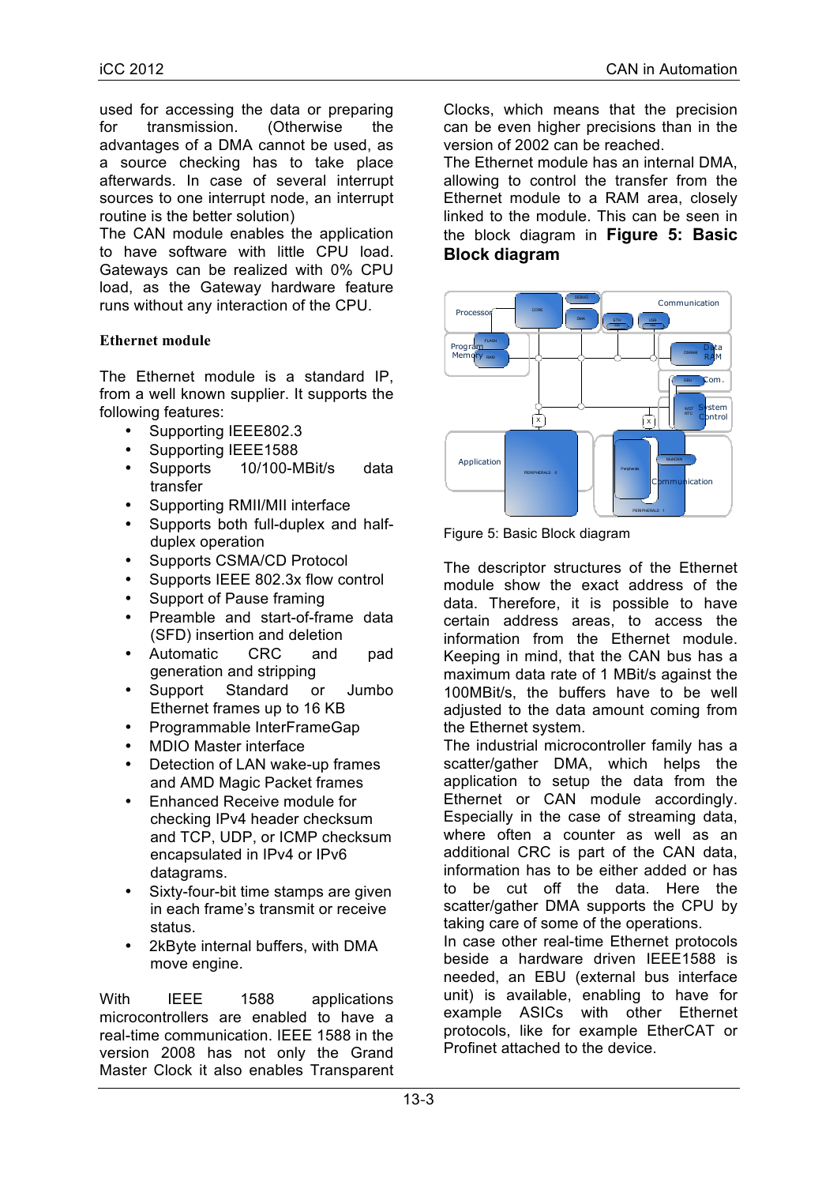used for accessing the data or preparing for transmission. (Otherwise the advantages of a DMA cannot be used, as a source checking has to take place afterwards. In case of several interrupt sources to one interrupt node, an interrupt routine is the better solution)

The CAN module enables the application to have software with little CPU load. Gateways can be realized with 0% CPU load, as the Gateway hardware feature runs without any interaction of the CPU.

## **Ethernet module**

The Ethernet module is a standard IP, from a well known supplier. It supports the following features:

- Supporting IEEE802.3
- Supporting IEEE1588
- Supports 10/100-MBit/s data transfer
- Supporting RMII/MII interface
- Supports both full-duplex and halfduplex operation
- Supports CSMA/CD Protocol
- Supports IEEE 802.3x flow control
- Support of Pause framing
- Preamble and start-of-frame data (SFD) insertion and deletion
- Automatic CRC and pad generation and stripping
- Support Standard or Jumbo Ethernet frames up to 16 KB
- Programmable InterFrameGap
- MDIO Master interface
- Detection of LAN wake-up frames and AMD Magic Packet frames
- Enhanced Receive module for checking IPv4 header checksum and TCP, UDP, or ICMP checksum encapsulated in IPv4 or IPv6 datagrams.
- Sixty-four-bit time stamps are given in each frame's transmit or receive status.
- 2kByte internal buffers, with DMA move engine.

With IEEE 1588 applications microcontrollers are enabled to have a real-time communication. IEEE 1588 in the version 2008 has not only the Grand Master Clock it also enables Transparent Clocks, which means that the precision can be even higher precisions than in the version of 2002 can be reached.

The Ethernet module has an internal DMA, allowing to control the transfer from the Ethernet module to a RAM area, closely linked to the module. This can be seen in the block diagram in **Figure 5: Basic Block diagram**



Figure 5: Basic Block diagram

The descriptor structures of the Ethernet module show the exact address of the data. Therefore, it is possible to have certain address areas, to access the information from the Ethernet module. Keeping in mind, that the CAN bus has a maximum data rate of 1 MBit/s against the 100MBit/s, the buffers have to be well adjusted to the data amount coming from the Ethernet system.

The industrial microcontroller family has a scatter/gather DMA, which helps the application to setup the data from the Ethernet or CAN module accordingly. Especially in the case of streaming data, where often a counter as well as an additional CRC is part of the CAN data, information has to be either added or has to be cut off the data. Here the scatter/gather DMA supports the CPU by taking care of some of the operations.

In case other real-time Ethernet protocols beside a hardware driven IEEE1588 is needed, an EBU (external bus interface unit) is available, enabling to have for example ASICs with other Ethernet protocols, like for example EtherCAT or Profinet attached to the device.